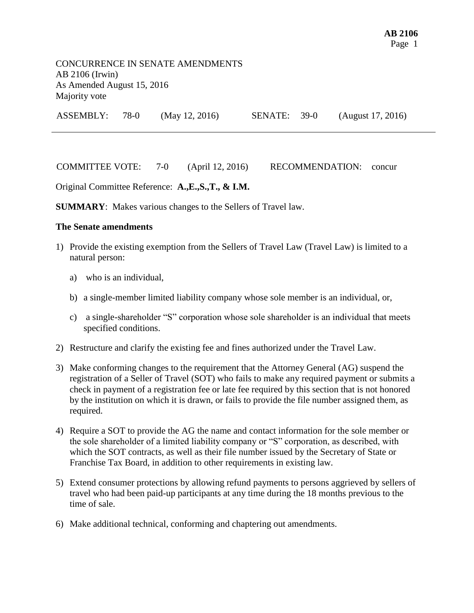COMMITTEE VOTE: 7-0 (April 12, 2016) RECOMMENDATION: concur

Original Committee Reference: **A.,E.,S.,T., & I.M.**

**SUMMARY**: Makes various changes to the Sellers of Travel law.

## **The Senate amendments**

- 1) Provide the existing exemption from the Sellers of Travel Law (Travel Law) is limited to a natural person:
	- a) who is an individual,
	- b) a single-member limited liability company whose sole member is an individual, or,
	- c) a single-shareholder "S" corporation whose sole shareholder is an individual that meets specified conditions.
- 2) Restructure and clarify the existing fee and fines authorized under the Travel Law.
- 3) Make conforming changes to the requirement that the Attorney General (AG) suspend the registration of a Seller of Travel (SOT) who fails to make any required payment or submits a check in payment of a registration fee or late fee required by this section that is not honored by the institution on which it is drawn, or fails to provide the file number assigned them, as required.
- 4) Require a SOT to provide the AG the name and contact information for the sole member or the sole shareholder of a limited liability company or "S" corporation, as described, with which the SOT contracts, as well as their file number issued by the Secretary of State or Franchise Tax Board, in addition to other requirements in existing law.
- 5) Extend consumer protections by allowing refund payments to persons aggrieved by sellers of travel who had been paid-up participants at any time during the 18 months previous to the time of sale.
- 6) Make additional technical, conforming and chaptering out amendments.